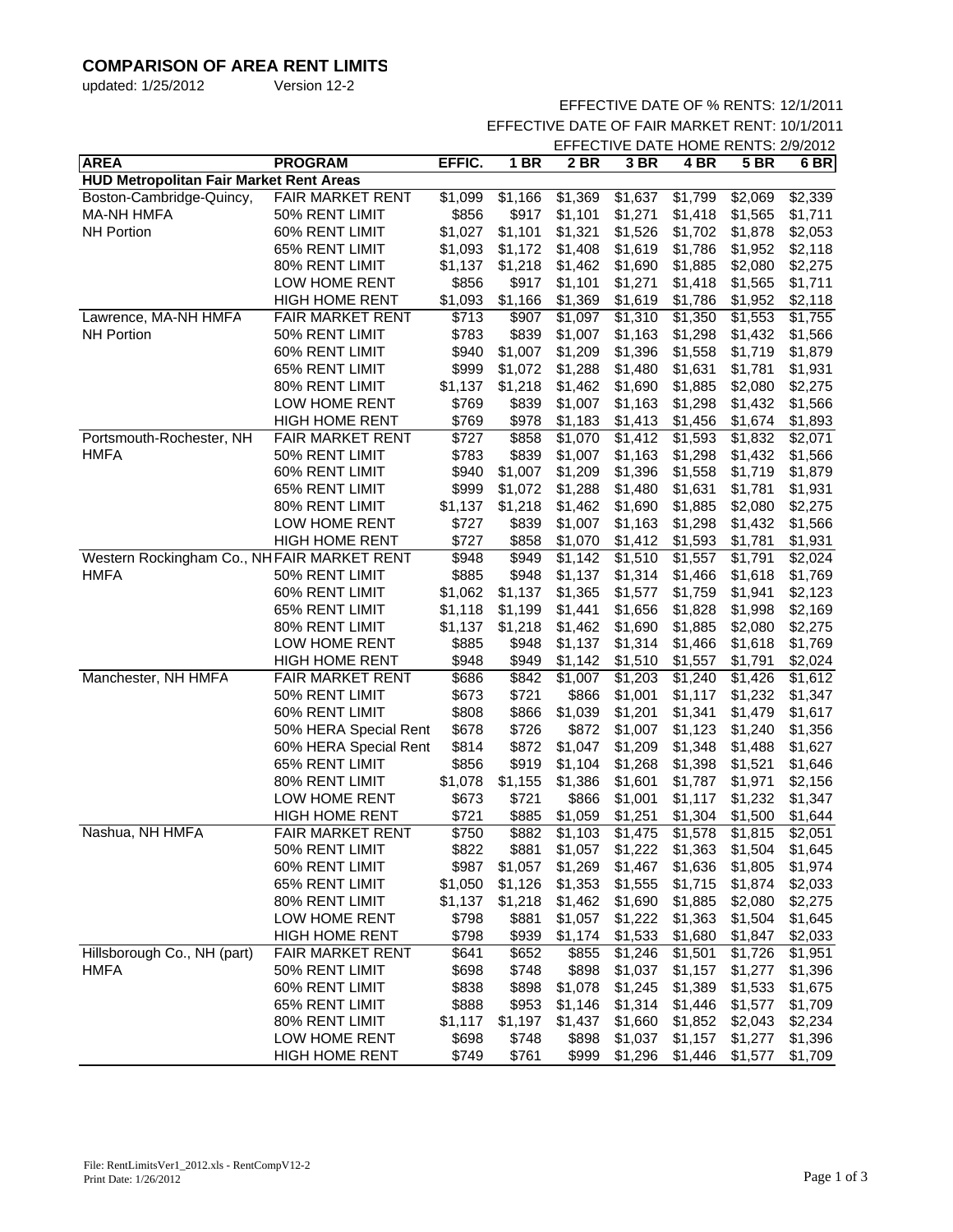# **COMPARISON OF AREA RENT LIMITS**

| updated: 1/25/2012 | Version 12-2 |
|--------------------|--------------|
|                    |              |

### EFFECTIVE DATE OF % RENTS: 12/1/2011

EFFECTIVE DATE OF FAIR MARKET RENT: 10/1/2011

|                                                |                         |         |         | EFFECTIVE DATE HOME RENTS: 2/9/2012 |                     |                     |                     |         |
|------------------------------------------------|-------------------------|---------|---------|-------------------------------------|---------------------|---------------------|---------------------|---------|
| <b>AREA</b>                                    | <b>PROGRAM</b>          | EFFIC.  | $1$ BR  | 2 BR                                | 3 BR                | 4 BR                | <b>5 BR</b>         | $6$ BR  |
| <b>HUD Metropolitan Fair Market Rent Areas</b> |                         |         |         |                                     |                     |                     |                     |         |
| Boston-Cambridge-Quincy,                       | FAIR MARKET RENT        | \$1,099 | \$1,166 | \$1,369                             | \$1,637             | \$1,799             | \$2,069             | \$2,339 |
| <b>MA-NH HMFA</b>                              | 50% RENT LIMIT          | \$856   | \$917   | \$1,101                             | \$1,271             | \$1,418             | \$1,565             | \$1,711 |
| <b>NH Portion</b>                              | 60% RENT LIMIT          | \$1,027 | \$1,101 | \$1,321                             | \$1,526             | \$1,702             | \$1,878             | \$2,053 |
|                                                | 65% RENT LIMIT          | \$1,093 | \$1,172 | \$1,408                             | \$1,619             | \$1,786             | \$1,952             | \$2,118 |
|                                                | 80% RENT LIMIT          | \$1,137 | \$1,218 | \$1,462                             | \$1,690             | \$1,885             | \$2,080             | \$2,275 |
|                                                | LOW HOME RENT           | \$856   | \$917   | \$1,101                             | \$1,271             | \$1,418             | \$1,565             | \$1,711 |
|                                                | <b>HIGH HOME RENT</b>   | \$1,093 | \$1,166 | \$1,369                             | \$1,619             | \$1,786             | \$1,952             | \$2,118 |
| Lawrence, MA-NH HMFA                           | <b>FAIR MARKET RENT</b> | \$713   | \$907   | \$1,097                             | $\overline{$}1,310$ | $\overline{$}1,350$ | $\overline{$}1,553$ | \$1,755 |
| <b>NH Portion</b>                              | 50% RENT LIMIT          | \$783   | \$839   | \$1,007                             | \$1,163             | \$1,298             | \$1,432             | \$1,566 |
|                                                | 60% RENT LIMIT          | \$940   | \$1,007 | \$1,209                             | \$1,396             | \$1,558             | \$1,719             | \$1,879 |
|                                                | 65% RENT LIMIT          | \$999   | \$1,072 | \$1,288                             | \$1,480             | \$1,631             | \$1,781             | \$1,931 |
|                                                | 80% RENT LIMIT          | \$1,137 | \$1,218 | \$1,462                             | \$1,690             | \$1,885             | \$2,080             | \$2,275 |
|                                                | LOW HOME RENT           | \$769   | \$839   | \$1,007                             | \$1,163             | \$1,298             | \$1,432             | \$1,566 |
|                                                | <b>HIGH HOME RENT</b>   | \$769   | \$978   | \$1,183                             | \$1,413             | \$1,456             | \$1,674             | \$1,893 |
| Portsmouth-Rochester, NH                       | <b>FAIR MARKET RENT</b> | \$727   | \$858   | \$1,070                             | \$1,412             | \$1,593             | \$1,832             | \$2,071 |
| <b>HMFA</b>                                    | 50% RENT LIMIT          | \$783   | \$839   | \$1,007                             | \$1,163             | \$1,298             | \$1,432             | \$1,566 |
|                                                | 60% RENT LIMIT          | \$940   | \$1,007 | \$1,209                             | \$1,396             | \$1,558             | \$1,719             | \$1,879 |
|                                                | 65% RENT LIMIT          | \$999   | \$1,072 | \$1,288                             | \$1,480             | \$1,631             | \$1,781             | \$1,931 |
|                                                | 80% RENT LIMIT          | \$1,137 | \$1,218 | \$1,462                             | \$1,690             | \$1,885             | \$2,080             | \$2,275 |
|                                                | LOW HOME RENT           | \$727   | \$839   | \$1,007                             | \$1,163             | \$1,298             | \$1,432             | \$1,566 |
|                                                | <b>HIGH HOME RENT</b>   | \$727   | \$858   | \$1,070                             | \$1,412             | \$1,593             | \$1,781             | \$1,931 |
| Western Rockingham Co., NH FAIR MARKET RENT    |                         | \$948   | \$949   | \$1,142                             | $\overline{$}1,510$ | \$1,557             | \$1,791             | \$2,024 |
| <b>HMFA</b>                                    | 50% RENT LIMIT          | \$885   | \$948   | \$1,137                             | \$1,314             | \$1,466             | \$1,618             | \$1,769 |
|                                                | 60% RENT LIMIT          | \$1,062 | \$1,137 | \$1,365                             | \$1,577             | \$1,759             | \$1,941             | \$2,123 |
|                                                | 65% RENT LIMIT          | \$1,118 | \$1,199 | \$1,441                             | \$1,656             | \$1,828             | \$1,998             | \$2,169 |
|                                                | 80% RENT LIMIT          | \$1,137 | \$1,218 | \$1,462                             | \$1,690             | \$1,885             | \$2,080             | \$2,275 |
|                                                | LOW HOME RENT           | \$885   | \$948   | \$1,137                             | \$1,314             | \$1,466             | \$1,618             | \$1,769 |
|                                                | <b>HIGH HOME RENT</b>   | \$948   | \$949   | \$1,142                             | \$1,510             | \$1,557             | \$1,791             | \$2,024 |
| Manchester, NH HMFA                            | FAIR MARKET RENT        | \$686   | \$842   | \$1,007                             | $\overline{$}1,203$ | \$1,240             | $\overline{$}1,426$ | \$1,612 |
|                                                | 50% RENT LIMIT          | \$673   | \$721   | \$866                               | \$1,001             | \$1,117             | \$1,232             | \$1,347 |
|                                                | 60% RENT LIMIT          | \$808   | \$866   | \$1,039                             | \$1,201             | \$1,341             | \$1,479             | \$1,617 |
|                                                | 50% HERA Special Rent   | \$678   | \$726   | \$872                               | \$1,007             | \$1,123             | \$1,240             | \$1,356 |
|                                                | 60% HERA Special Rent   | \$814   | \$872   | \$1,047                             | \$1,209             | \$1,348             | \$1,488             | \$1,627 |
|                                                | 65% RENT LIMIT          | \$856   | \$919   | \$1,104                             | \$1,268             | \$1,398             | \$1,521             | \$1,646 |
|                                                | 80% RENT LIMIT          | \$1,078 | \$1,155 | \$1,386                             | \$1,601             | \$1,787             | \$1,971             | \$2,156 |
|                                                | LOW HOME RENT           | \$673   | \$721   | \$866                               | \$1,001             | \$1,117             | \$1,232             | \$1,347 |
|                                                | <b>HIGH HOME RENT</b>   | \$721   | \$885   | \$1,059                             | \$1,251             | \$1,304             | \$1,500             | \$1,644 |
| Nashua, NH HMFA                                | FAIR MARKET RENT        | \$750   | \$882   | $\overline{$}1,103$                 | $\overline{$}1,475$ | \$1,578             | \$1,815             | \$2,051 |
|                                                | 50% RENT LIMIT          | \$822   | \$881   | \$1,057                             | \$1,222             | \$1,363             | \$1,504             | \$1,645 |
|                                                | 60% RENT LIMIT          | \$987   | \$1,057 | \$1,269                             | \$1,467             | \$1,636             | \$1,805             | \$1,974 |
|                                                | 65% RENT LIMIT          | \$1,050 | \$1,126 | \$1,353                             | \$1,555             | \$1,715             | \$1,874             | \$2,033 |
|                                                | 80% RENT LIMIT          | \$1,137 | \$1,218 | \$1,462                             | \$1,690             | \$1,885             | \$2,080             | \$2,275 |
|                                                | LOW HOME RENT           | \$798   | \$881   | \$1,057                             | \$1,222             | \$1,363             | \$1,504             | \$1,645 |
|                                                | <b>HIGH HOME RENT</b>   | \$798   | \$939   | \$1,174                             | \$1,533             | \$1,680             | \$1,847             | \$2,033 |
| Hillsborough Co., NH (part)                    | <b>FAIR MARKET RENT</b> | \$641   | \$652   | \$855                               | \$1,246             | \$1,501             | \$1,726             | \$1,951 |
| <b>HMFA</b>                                    | 50% RENT LIMIT          | \$698   | \$748   | \$898                               | \$1,037             | \$1,157             | \$1,277             | \$1,396 |
|                                                | 60% RENT LIMIT          | \$838   | \$898   | \$1,078                             | \$1,245             | \$1,389             | \$1,533             | \$1,675 |
|                                                | 65% RENT LIMIT          | \$888   | \$953   | \$1,146                             | \$1,314             | \$1,446             | \$1,577             | \$1,709 |
|                                                | 80% RENT LIMIT          | \$1,117 | \$1,197 | \$1,437                             | \$1,660             | \$1,852             | \$2,043             | \$2,234 |
|                                                | LOW HOME RENT           | \$698   | \$748   | \$898                               | \$1,037             | \$1,157             | \$1,277             | \$1,396 |
|                                                | <b>HIGH HOME RENT</b>   | \$749   | \$761   | \$999                               | \$1,296             | \$1,446             | \$1,577             | \$1,709 |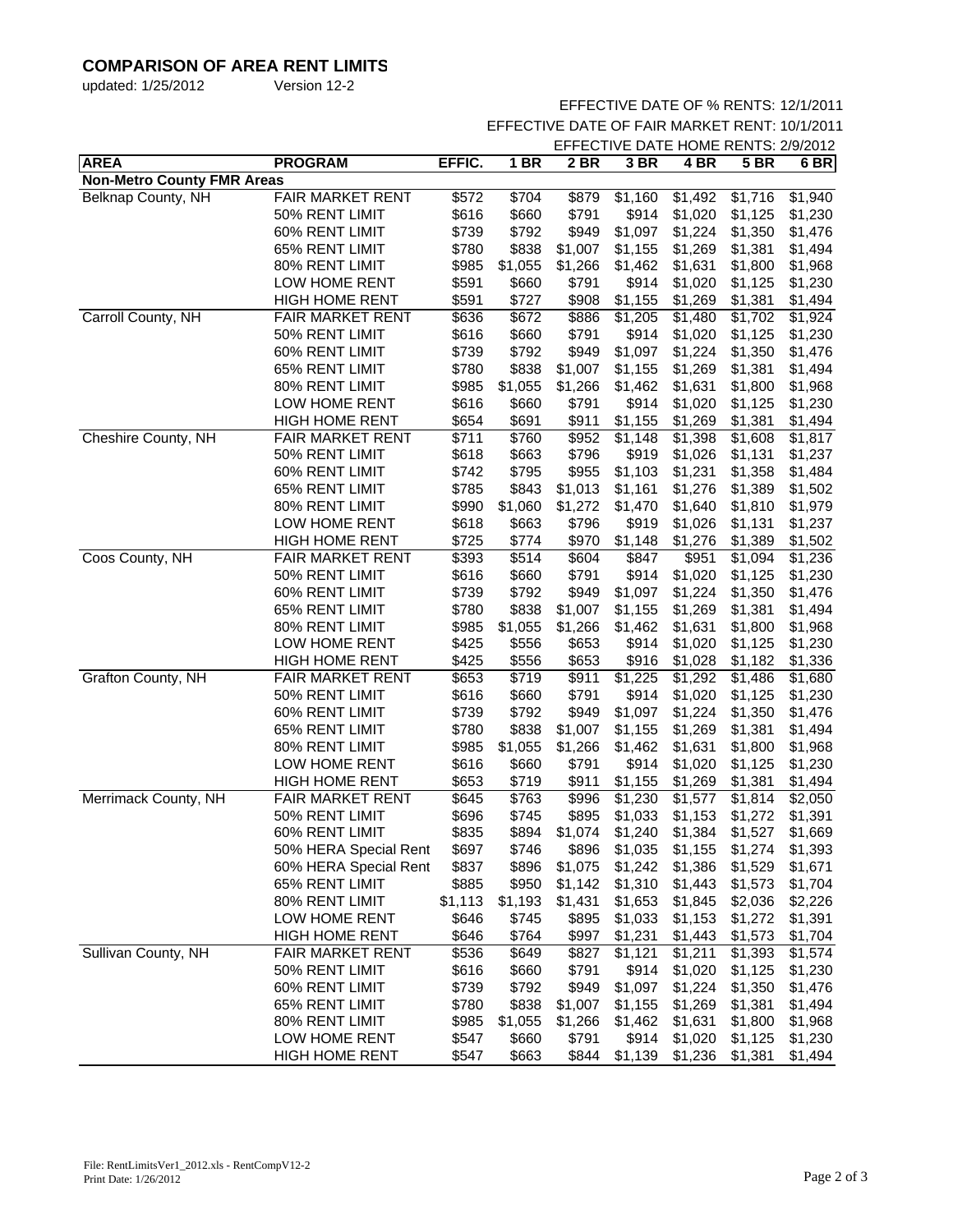# **COMPARISON OF AREA RENT LIMITS**

| updated: 1/25/2012 | Version 12-2 |
|--------------------|--------------|
|                    |              |

### EFFECTIVE DATE OF % RENTS: 12/1/2011

EFFECTIVE DATE OF FAIR MARKET RENT: 10/1/2011

| 2 BR<br>3 BR<br>4 BR<br><b>5 BR</b><br>6 BR<br><b>Non-Metro County FMR Areas</b><br>Belknap County, NH<br><b>FAIR MARKET RENT</b><br>\$572<br>\$704<br>$\overline{$}879$<br>$\overline{$}1,160$<br>\$1,492<br>\$1,716<br>\$1,940<br>\$616<br>\$660<br>\$791<br>\$914<br>\$1,020<br>\$1,125<br>\$1,230<br>50% RENT LIMIT<br>\$739<br>\$792<br>\$949<br>\$1,097<br>\$1,224<br>\$1,350<br>60% RENT LIMIT<br>\$1,476<br>65% RENT LIMIT<br>\$780<br>\$838<br>\$1,007<br>\$1,155<br>\$1,269<br>\$1,381<br>\$1,494<br>80% RENT LIMIT<br>\$985<br>\$1,055<br>\$1,266<br>\$1,462<br>\$1,631<br>\$1,800<br>\$1,968<br>LOW HOME RENT<br>\$591<br>\$660<br>\$791<br>\$914<br>\$1,020<br>\$1,125<br>\$1,230<br><b>HIGH HOME RENT</b><br>\$591<br>\$727<br>\$908<br>\$1,155<br>\$1,269<br>\$1,381<br>\$1,494<br>Carroll County, NH<br><b>FAIR MARKET RENT</b><br>\$636<br>\$1,205<br>\$672<br>\$886<br>\$1,480<br>\$1,702<br>\$1,924<br>50% RENT LIMIT<br>\$616<br>\$791<br>\$914<br>\$1,125<br>\$1,230<br>\$660<br>\$1,020<br>60% RENT LIMIT<br>\$739<br>\$792<br>\$949<br>\$1,097<br>\$1,224<br>\$1,350<br>\$1,476<br>65% RENT LIMIT<br>\$780<br>\$838<br>\$1,007<br>\$1,155<br>\$1,494<br>\$1,269<br>\$1,381<br>80% RENT LIMIT<br>\$1,055<br>\$985<br>\$1,266<br>\$1,462<br>\$1,631<br>\$1,800<br>\$1,968<br>LOW HOME RENT<br>\$660<br>\$616<br>\$791<br>\$914<br>\$1,020<br>\$1,125<br>\$1,230<br><b>HIGH HOME RENT</b><br>\$654<br>\$691<br>\$911<br>\$1,381<br>\$1,155<br>\$1,269<br>\$1,494<br>Cheshire County, NH<br><b>FAIR MARKET RENT</b><br>\$711<br>\$760<br>\$952<br>$\overline{$}1,148$<br>\$1,398<br>\$1,608<br>\$1,817<br>\$618<br>\$796<br>50% RENT LIMIT<br>\$663<br>\$919<br>\$1,026<br>\$1,131<br>\$1,237<br>60% RENT LIMIT<br>\$742<br>\$795<br>\$955<br>\$1,103<br>\$1,484<br>\$1,231<br>\$1,358<br>65% RENT LIMIT<br>\$785<br>\$843<br>\$1,013<br>\$1,161<br>\$1,276<br>\$1,389<br>\$1,502<br>80% RENT LIMIT<br>\$1,060<br>\$990<br>\$1,272<br>\$1,470<br>\$1,640<br>\$1,810<br>\$1,979<br>LOW HOME RENT<br>\$618<br>\$663<br>\$796<br>\$919<br>\$1,026<br>\$1,131<br>\$1,237<br>\$725<br><b>HIGH HOME RENT</b><br>\$774<br>\$970<br>\$1,148<br>\$1,276<br>\$1,389<br>\$1,502<br>Coos County, NH<br><b>FAIR MARKET RENT</b><br>\$847<br>\$393<br>\$514<br>\$604<br>\$951<br>\$1,094<br>\$1,236<br>\$791<br>50% RENT LIMIT<br>\$616<br>\$660<br>\$914<br>\$1,020<br>\$1,125<br>\$1,230<br>\$739<br>\$792<br>\$949<br>\$1,097<br>\$1,224<br>60% RENT LIMIT<br>\$1,350<br>\$1,476<br>65% RENT LIMIT<br>\$780<br>\$838<br>\$1,007<br>\$1,155<br>\$1,381<br>\$1,494<br>\$1,269<br>80% RENT LIMIT<br>\$985<br>\$1,055<br>\$1,266<br>\$1,462<br>\$1,631<br>\$1,800<br>\$1,968<br>\$425<br>\$556<br>\$914<br>\$1,020<br>\$1,125<br>\$1,230<br>LOW HOME RENT<br>\$653<br>\$425<br>\$653<br>\$916<br>\$1,182<br><b>HIGH HOME RENT</b><br>\$556<br>\$1,028<br>\$1,336<br>Grafton County, NH<br>FAIR MARKET RENT<br>\$653<br>\$719<br>\$911<br>\$1,225<br>\$1,292<br>\$1,486<br>\$1,680<br>\$616<br>\$791<br>50% RENT LIMIT<br>\$660<br>\$914<br>\$1,020<br>\$1,125<br>\$1,230<br>\$949<br>60% RENT LIMIT<br>\$739<br>\$792<br>\$1,097<br>\$1,224<br>\$1,350<br>\$1,476<br>65% RENT LIMIT<br>\$780<br>\$838<br>\$1,007<br>\$1,155<br>\$1,269<br>\$1,381<br>\$1,494<br>\$1,055<br>80% RENT LIMIT<br>\$985<br>\$1,266<br>\$1,462<br>\$1,631<br>\$1,800<br>\$1,968<br>LOW HOME RENT<br>\$616<br>\$791<br>\$914<br>\$1,230<br>\$660<br>\$1,020<br>\$1,125<br>\$653<br>\$719<br>\$911<br>\$1,155<br>\$1,269<br>\$1,381<br>\$1,494<br><b>HIGH HOME RENT</b><br>Merrimack County, NH<br><b>FAIR MARKET RENT</b><br>\$763<br>\$996<br>$\overline{$}1,230$<br>$\overline{$}1,577$<br>\$645<br>\$1,814<br>\$2,050<br>50% RENT LIMIT<br>\$696<br>\$895<br>\$745<br>\$1,033<br>\$1,153<br>\$1,272<br>\$1,391<br>\$835<br>\$894<br>60% RENT LIMIT<br>\$1,074<br>\$1,240<br>\$1,384<br>\$1,527<br>\$1,669<br>50% HERA Special Rent<br>\$697<br>\$746<br>\$896<br>\$1,035<br>\$1,155<br>\$1,274<br>\$1,393<br>\$837<br>60% HERA Special Rent<br>\$896<br>\$1,075<br>\$1,242<br>\$1,386<br>\$1,529<br>\$1,671<br>65% RENT LIMIT<br>\$885<br>\$950<br>\$1,142<br>\$1,310<br>\$1,443<br>\$1,573<br>\$1,704<br>80% RENT LIMIT<br>\$1,113<br>\$1,193<br>\$1,431<br>\$1,653<br>\$1,845<br>\$2,036<br>\$2,226<br>LOW HOME RENT<br>\$646<br>\$745<br>\$895<br>\$1,033<br>\$1,153<br>\$1,272<br>\$1,391<br><b>HIGH HOME RENT</b><br>\$646<br>\$764<br>\$997<br>\$1,231<br>\$1,443<br>\$1,573<br>\$1,704<br>Sullivan County, NH<br>FAIR MARKET RENT<br>\$536<br>\$649<br>\$827<br>\$1,121<br>\$1,211<br>\$1,393<br>\$1,574<br>\$616<br>\$791<br>\$914<br>\$1,020<br>\$660<br>\$1,125<br>\$1,230<br>50% RENT LIMIT<br>60% RENT LIMIT<br>\$739<br>\$792<br>\$949<br>\$1,097<br>\$1,224<br>\$1,350<br>\$1,476<br>65% RENT LIMIT<br>\$780<br>\$838<br>\$1,007<br>\$1,155<br>\$1,269<br>\$1,381<br>\$1,494<br>80% RENT LIMIT<br>\$985<br>\$1,055<br>\$1,266<br>\$1,462<br>\$1,631<br>\$1,800<br>\$1,968<br>LOW HOME RENT<br>\$547<br>\$660<br>\$791<br>\$914<br>\$1,020<br>\$1,125<br>\$1,230<br><b>HIGH HOME RENT</b><br>\$547<br>\$663<br>\$844<br>\$1,139<br>\$1,494 |             |                |        |        | EFFECTIVE DATE HOME RENTS: 2/9/2012 |  |         |         |  |
|-----------------------------------------------------------------------------------------------------------------------------------------------------------------------------------------------------------------------------------------------------------------------------------------------------------------------------------------------------------------------------------------------------------------------------------------------------------------------------------------------------------------------------------------------------------------------------------------------------------------------------------------------------------------------------------------------------------------------------------------------------------------------------------------------------------------------------------------------------------------------------------------------------------------------------------------------------------------------------------------------------------------------------------------------------------------------------------------------------------------------------------------------------------------------------------------------------------------------------------------------------------------------------------------------------------------------------------------------------------------------------------------------------------------------------------------------------------------------------------------------------------------------------------------------------------------------------------------------------------------------------------------------------------------------------------------------------------------------------------------------------------------------------------------------------------------------------------------------------------------------------------------------------------------------------------------------------------------------------------------------------------------------------------------------------------------------------------------------------------------------------------------------------------------------------------------------------------------------------------------------------------------------------------------------------------------------------------------------------------------------------------------------------------------------------------------------------------------------------------------------------------------------------------------------------------------------------------------------------------------------------------------------------------------------------------------------------------------------------------------------------------------------------------------------------------------------------------------------------------------------------------------------------------------------------------------------------------------------------------------------------------------------------------------------------------------------------------------------------------------------------------------------------------------------------------------------------------------------------------------------------------------------------------------------------------------------------------------------------------------------------------------------------------------------------------------------------------------------------------------------------------------------------------------------------------------------------------------------------------------------------------------------------------------------------------------------------------------------------------------------------------------------------------------------------------------------------------------------------------------------------------------------------------------------------------------------------------------------------------------------------------------------------------------------------------------------------------------------------------------------------------------------------------------------------------------------------------------------------------------------------------------------------------------------------------------------------------------------------------------------------------------------------------------------------------------------------------------------------------------------------------------------------------------------------------------------------------------------------------------------------------------------------------------------------------------------------------------------------------------------------------------------------------------------------------------------------------------------------------------------------------------------------------------------------------------------------------------------------------------------------------------------------------------------------------------------------------------------------------------------------------------|-------------|----------------|--------|--------|-------------------------------------|--|---------|---------|--|
|                                                                                                                                                                                                                                                                                                                                                                                                                                                                                                                                                                                                                                                                                                                                                                                                                                                                                                                                                                                                                                                                                                                                                                                                                                                                                                                                                                                                                                                                                                                                                                                                                                                                                                                                                                                                                                                                                                                                                                                                                                                                                                                                                                                                                                                                                                                                                                                                                                                                                                                                                                                                                                                                                                                                                                                                                                                                                                                                                                                                                                                                                                                                                                                                                                                                                                                                                                                                                                                                                                                                                                                                                                                                                                                                                                                                                                                                                                                                                                                                                                                                                                                                                                                                                                                                                                                                                                                                                                                                                                                                                                                                                                                                                                                                                                                                                                                                                                                                                                                                                                                                                                                                         | <b>AREA</b> | <b>PROGRAM</b> | EFFIC. | $1$ BR |                                     |  |         |         |  |
|                                                                                                                                                                                                                                                                                                                                                                                                                                                                                                                                                                                                                                                                                                                                                                                                                                                                                                                                                                                                                                                                                                                                                                                                                                                                                                                                                                                                                                                                                                                                                                                                                                                                                                                                                                                                                                                                                                                                                                                                                                                                                                                                                                                                                                                                                                                                                                                                                                                                                                                                                                                                                                                                                                                                                                                                                                                                                                                                                                                                                                                                                                                                                                                                                                                                                                                                                                                                                                                                                                                                                                                                                                                                                                                                                                                                                                                                                                                                                                                                                                                                                                                                                                                                                                                                                                                                                                                                                                                                                                                                                                                                                                                                                                                                                                                                                                                                                                                                                                                                                                                                                                                                         |             |                |        |        |                                     |  |         |         |  |
|                                                                                                                                                                                                                                                                                                                                                                                                                                                                                                                                                                                                                                                                                                                                                                                                                                                                                                                                                                                                                                                                                                                                                                                                                                                                                                                                                                                                                                                                                                                                                                                                                                                                                                                                                                                                                                                                                                                                                                                                                                                                                                                                                                                                                                                                                                                                                                                                                                                                                                                                                                                                                                                                                                                                                                                                                                                                                                                                                                                                                                                                                                                                                                                                                                                                                                                                                                                                                                                                                                                                                                                                                                                                                                                                                                                                                                                                                                                                                                                                                                                                                                                                                                                                                                                                                                                                                                                                                                                                                                                                                                                                                                                                                                                                                                                                                                                                                                                                                                                                                                                                                                                                         |             |                |        |        |                                     |  |         |         |  |
|                                                                                                                                                                                                                                                                                                                                                                                                                                                                                                                                                                                                                                                                                                                                                                                                                                                                                                                                                                                                                                                                                                                                                                                                                                                                                                                                                                                                                                                                                                                                                                                                                                                                                                                                                                                                                                                                                                                                                                                                                                                                                                                                                                                                                                                                                                                                                                                                                                                                                                                                                                                                                                                                                                                                                                                                                                                                                                                                                                                                                                                                                                                                                                                                                                                                                                                                                                                                                                                                                                                                                                                                                                                                                                                                                                                                                                                                                                                                                                                                                                                                                                                                                                                                                                                                                                                                                                                                                                                                                                                                                                                                                                                                                                                                                                                                                                                                                                                                                                                                                                                                                                                                         |             |                |        |        |                                     |  |         |         |  |
|                                                                                                                                                                                                                                                                                                                                                                                                                                                                                                                                                                                                                                                                                                                                                                                                                                                                                                                                                                                                                                                                                                                                                                                                                                                                                                                                                                                                                                                                                                                                                                                                                                                                                                                                                                                                                                                                                                                                                                                                                                                                                                                                                                                                                                                                                                                                                                                                                                                                                                                                                                                                                                                                                                                                                                                                                                                                                                                                                                                                                                                                                                                                                                                                                                                                                                                                                                                                                                                                                                                                                                                                                                                                                                                                                                                                                                                                                                                                                                                                                                                                                                                                                                                                                                                                                                                                                                                                                                                                                                                                                                                                                                                                                                                                                                                                                                                                                                                                                                                                                                                                                                                                         |             |                |        |        |                                     |  |         |         |  |
|                                                                                                                                                                                                                                                                                                                                                                                                                                                                                                                                                                                                                                                                                                                                                                                                                                                                                                                                                                                                                                                                                                                                                                                                                                                                                                                                                                                                                                                                                                                                                                                                                                                                                                                                                                                                                                                                                                                                                                                                                                                                                                                                                                                                                                                                                                                                                                                                                                                                                                                                                                                                                                                                                                                                                                                                                                                                                                                                                                                                                                                                                                                                                                                                                                                                                                                                                                                                                                                                                                                                                                                                                                                                                                                                                                                                                                                                                                                                                                                                                                                                                                                                                                                                                                                                                                                                                                                                                                                                                                                                                                                                                                                                                                                                                                                                                                                                                                                                                                                                                                                                                                                                         |             |                |        |        |                                     |  |         |         |  |
|                                                                                                                                                                                                                                                                                                                                                                                                                                                                                                                                                                                                                                                                                                                                                                                                                                                                                                                                                                                                                                                                                                                                                                                                                                                                                                                                                                                                                                                                                                                                                                                                                                                                                                                                                                                                                                                                                                                                                                                                                                                                                                                                                                                                                                                                                                                                                                                                                                                                                                                                                                                                                                                                                                                                                                                                                                                                                                                                                                                                                                                                                                                                                                                                                                                                                                                                                                                                                                                                                                                                                                                                                                                                                                                                                                                                                                                                                                                                                                                                                                                                                                                                                                                                                                                                                                                                                                                                                                                                                                                                                                                                                                                                                                                                                                                                                                                                                                                                                                                                                                                                                                                                         |             |                |        |        |                                     |  |         |         |  |
|                                                                                                                                                                                                                                                                                                                                                                                                                                                                                                                                                                                                                                                                                                                                                                                                                                                                                                                                                                                                                                                                                                                                                                                                                                                                                                                                                                                                                                                                                                                                                                                                                                                                                                                                                                                                                                                                                                                                                                                                                                                                                                                                                                                                                                                                                                                                                                                                                                                                                                                                                                                                                                                                                                                                                                                                                                                                                                                                                                                                                                                                                                                                                                                                                                                                                                                                                                                                                                                                                                                                                                                                                                                                                                                                                                                                                                                                                                                                                                                                                                                                                                                                                                                                                                                                                                                                                                                                                                                                                                                                                                                                                                                                                                                                                                                                                                                                                                                                                                                                                                                                                                                                         |             |                |        |        |                                     |  |         |         |  |
|                                                                                                                                                                                                                                                                                                                                                                                                                                                                                                                                                                                                                                                                                                                                                                                                                                                                                                                                                                                                                                                                                                                                                                                                                                                                                                                                                                                                                                                                                                                                                                                                                                                                                                                                                                                                                                                                                                                                                                                                                                                                                                                                                                                                                                                                                                                                                                                                                                                                                                                                                                                                                                                                                                                                                                                                                                                                                                                                                                                                                                                                                                                                                                                                                                                                                                                                                                                                                                                                                                                                                                                                                                                                                                                                                                                                                                                                                                                                                                                                                                                                                                                                                                                                                                                                                                                                                                                                                                                                                                                                                                                                                                                                                                                                                                                                                                                                                                                                                                                                                                                                                                                                         |             |                |        |        |                                     |  |         |         |  |
|                                                                                                                                                                                                                                                                                                                                                                                                                                                                                                                                                                                                                                                                                                                                                                                                                                                                                                                                                                                                                                                                                                                                                                                                                                                                                                                                                                                                                                                                                                                                                                                                                                                                                                                                                                                                                                                                                                                                                                                                                                                                                                                                                                                                                                                                                                                                                                                                                                                                                                                                                                                                                                                                                                                                                                                                                                                                                                                                                                                                                                                                                                                                                                                                                                                                                                                                                                                                                                                                                                                                                                                                                                                                                                                                                                                                                                                                                                                                                                                                                                                                                                                                                                                                                                                                                                                                                                                                                                                                                                                                                                                                                                                                                                                                                                                                                                                                                                                                                                                                                                                                                                                                         |             |                |        |        |                                     |  |         |         |  |
|                                                                                                                                                                                                                                                                                                                                                                                                                                                                                                                                                                                                                                                                                                                                                                                                                                                                                                                                                                                                                                                                                                                                                                                                                                                                                                                                                                                                                                                                                                                                                                                                                                                                                                                                                                                                                                                                                                                                                                                                                                                                                                                                                                                                                                                                                                                                                                                                                                                                                                                                                                                                                                                                                                                                                                                                                                                                                                                                                                                                                                                                                                                                                                                                                                                                                                                                                                                                                                                                                                                                                                                                                                                                                                                                                                                                                                                                                                                                                                                                                                                                                                                                                                                                                                                                                                                                                                                                                                                                                                                                                                                                                                                                                                                                                                                                                                                                                                                                                                                                                                                                                                                                         |             |                |        |        |                                     |  |         |         |  |
|                                                                                                                                                                                                                                                                                                                                                                                                                                                                                                                                                                                                                                                                                                                                                                                                                                                                                                                                                                                                                                                                                                                                                                                                                                                                                                                                                                                                                                                                                                                                                                                                                                                                                                                                                                                                                                                                                                                                                                                                                                                                                                                                                                                                                                                                                                                                                                                                                                                                                                                                                                                                                                                                                                                                                                                                                                                                                                                                                                                                                                                                                                                                                                                                                                                                                                                                                                                                                                                                                                                                                                                                                                                                                                                                                                                                                                                                                                                                                                                                                                                                                                                                                                                                                                                                                                                                                                                                                                                                                                                                                                                                                                                                                                                                                                                                                                                                                                                                                                                                                                                                                                                                         |             |                |        |        |                                     |  |         |         |  |
|                                                                                                                                                                                                                                                                                                                                                                                                                                                                                                                                                                                                                                                                                                                                                                                                                                                                                                                                                                                                                                                                                                                                                                                                                                                                                                                                                                                                                                                                                                                                                                                                                                                                                                                                                                                                                                                                                                                                                                                                                                                                                                                                                                                                                                                                                                                                                                                                                                                                                                                                                                                                                                                                                                                                                                                                                                                                                                                                                                                                                                                                                                                                                                                                                                                                                                                                                                                                                                                                                                                                                                                                                                                                                                                                                                                                                                                                                                                                                                                                                                                                                                                                                                                                                                                                                                                                                                                                                                                                                                                                                                                                                                                                                                                                                                                                                                                                                                                                                                                                                                                                                                                                         |             |                |        |        |                                     |  |         |         |  |
|                                                                                                                                                                                                                                                                                                                                                                                                                                                                                                                                                                                                                                                                                                                                                                                                                                                                                                                                                                                                                                                                                                                                                                                                                                                                                                                                                                                                                                                                                                                                                                                                                                                                                                                                                                                                                                                                                                                                                                                                                                                                                                                                                                                                                                                                                                                                                                                                                                                                                                                                                                                                                                                                                                                                                                                                                                                                                                                                                                                                                                                                                                                                                                                                                                                                                                                                                                                                                                                                                                                                                                                                                                                                                                                                                                                                                                                                                                                                                                                                                                                                                                                                                                                                                                                                                                                                                                                                                                                                                                                                                                                                                                                                                                                                                                                                                                                                                                                                                                                                                                                                                                                                         |             |                |        |        |                                     |  |         |         |  |
|                                                                                                                                                                                                                                                                                                                                                                                                                                                                                                                                                                                                                                                                                                                                                                                                                                                                                                                                                                                                                                                                                                                                                                                                                                                                                                                                                                                                                                                                                                                                                                                                                                                                                                                                                                                                                                                                                                                                                                                                                                                                                                                                                                                                                                                                                                                                                                                                                                                                                                                                                                                                                                                                                                                                                                                                                                                                                                                                                                                                                                                                                                                                                                                                                                                                                                                                                                                                                                                                                                                                                                                                                                                                                                                                                                                                                                                                                                                                                                                                                                                                                                                                                                                                                                                                                                                                                                                                                                                                                                                                                                                                                                                                                                                                                                                                                                                                                                                                                                                                                                                                                                                                         |             |                |        |        |                                     |  |         |         |  |
|                                                                                                                                                                                                                                                                                                                                                                                                                                                                                                                                                                                                                                                                                                                                                                                                                                                                                                                                                                                                                                                                                                                                                                                                                                                                                                                                                                                                                                                                                                                                                                                                                                                                                                                                                                                                                                                                                                                                                                                                                                                                                                                                                                                                                                                                                                                                                                                                                                                                                                                                                                                                                                                                                                                                                                                                                                                                                                                                                                                                                                                                                                                                                                                                                                                                                                                                                                                                                                                                                                                                                                                                                                                                                                                                                                                                                                                                                                                                                                                                                                                                                                                                                                                                                                                                                                                                                                                                                                                                                                                                                                                                                                                                                                                                                                                                                                                                                                                                                                                                                                                                                                                                         |             |                |        |        |                                     |  |         |         |  |
|                                                                                                                                                                                                                                                                                                                                                                                                                                                                                                                                                                                                                                                                                                                                                                                                                                                                                                                                                                                                                                                                                                                                                                                                                                                                                                                                                                                                                                                                                                                                                                                                                                                                                                                                                                                                                                                                                                                                                                                                                                                                                                                                                                                                                                                                                                                                                                                                                                                                                                                                                                                                                                                                                                                                                                                                                                                                                                                                                                                                                                                                                                                                                                                                                                                                                                                                                                                                                                                                                                                                                                                                                                                                                                                                                                                                                                                                                                                                                                                                                                                                                                                                                                                                                                                                                                                                                                                                                                                                                                                                                                                                                                                                                                                                                                                                                                                                                                                                                                                                                                                                                                                                         |             |                |        |        |                                     |  |         |         |  |
|                                                                                                                                                                                                                                                                                                                                                                                                                                                                                                                                                                                                                                                                                                                                                                                                                                                                                                                                                                                                                                                                                                                                                                                                                                                                                                                                                                                                                                                                                                                                                                                                                                                                                                                                                                                                                                                                                                                                                                                                                                                                                                                                                                                                                                                                                                                                                                                                                                                                                                                                                                                                                                                                                                                                                                                                                                                                                                                                                                                                                                                                                                                                                                                                                                                                                                                                                                                                                                                                                                                                                                                                                                                                                                                                                                                                                                                                                                                                                                                                                                                                                                                                                                                                                                                                                                                                                                                                                                                                                                                                                                                                                                                                                                                                                                                                                                                                                                                                                                                                                                                                                                                                         |             |                |        |        |                                     |  |         |         |  |
|                                                                                                                                                                                                                                                                                                                                                                                                                                                                                                                                                                                                                                                                                                                                                                                                                                                                                                                                                                                                                                                                                                                                                                                                                                                                                                                                                                                                                                                                                                                                                                                                                                                                                                                                                                                                                                                                                                                                                                                                                                                                                                                                                                                                                                                                                                                                                                                                                                                                                                                                                                                                                                                                                                                                                                                                                                                                                                                                                                                                                                                                                                                                                                                                                                                                                                                                                                                                                                                                                                                                                                                                                                                                                                                                                                                                                                                                                                                                                                                                                                                                                                                                                                                                                                                                                                                                                                                                                                                                                                                                                                                                                                                                                                                                                                                                                                                                                                                                                                                                                                                                                                                                         |             |                |        |        |                                     |  |         |         |  |
|                                                                                                                                                                                                                                                                                                                                                                                                                                                                                                                                                                                                                                                                                                                                                                                                                                                                                                                                                                                                                                                                                                                                                                                                                                                                                                                                                                                                                                                                                                                                                                                                                                                                                                                                                                                                                                                                                                                                                                                                                                                                                                                                                                                                                                                                                                                                                                                                                                                                                                                                                                                                                                                                                                                                                                                                                                                                                                                                                                                                                                                                                                                                                                                                                                                                                                                                                                                                                                                                                                                                                                                                                                                                                                                                                                                                                                                                                                                                                                                                                                                                                                                                                                                                                                                                                                                                                                                                                                                                                                                                                                                                                                                                                                                                                                                                                                                                                                                                                                                                                                                                                                                                         |             |                |        |        |                                     |  |         |         |  |
|                                                                                                                                                                                                                                                                                                                                                                                                                                                                                                                                                                                                                                                                                                                                                                                                                                                                                                                                                                                                                                                                                                                                                                                                                                                                                                                                                                                                                                                                                                                                                                                                                                                                                                                                                                                                                                                                                                                                                                                                                                                                                                                                                                                                                                                                                                                                                                                                                                                                                                                                                                                                                                                                                                                                                                                                                                                                                                                                                                                                                                                                                                                                                                                                                                                                                                                                                                                                                                                                                                                                                                                                                                                                                                                                                                                                                                                                                                                                                                                                                                                                                                                                                                                                                                                                                                                                                                                                                                                                                                                                                                                                                                                                                                                                                                                                                                                                                                                                                                                                                                                                                                                                         |             |                |        |        |                                     |  |         |         |  |
|                                                                                                                                                                                                                                                                                                                                                                                                                                                                                                                                                                                                                                                                                                                                                                                                                                                                                                                                                                                                                                                                                                                                                                                                                                                                                                                                                                                                                                                                                                                                                                                                                                                                                                                                                                                                                                                                                                                                                                                                                                                                                                                                                                                                                                                                                                                                                                                                                                                                                                                                                                                                                                                                                                                                                                                                                                                                                                                                                                                                                                                                                                                                                                                                                                                                                                                                                                                                                                                                                                                                                                                                                                                                                                                                                                                                                                                                                                                                                                                                                                                                                                                                                                                                                                                                                                                                                                                                                                                                                                                                                                                                                                                                                                                                                                                                                                                                                                                                                                                                                                                                                                                                         |             |                |        |        |                                     |  |         |         |  |
|                                                                                                                                                                                                                                                                                                                                                                                                                                                                                                                                                                                                                                                                                                                                                                                                                                                                                                                                                                                                                                                                                                                                                                                                                                                                                                                                                                                                                                                                                                                                                                                                                                                                                                                                                                                                                                                                                                                                                                                                                                                                                                                                                                                                                                                                                                                                                                                                                                                                                                                                                                                                                                                                                                                                                                                                                                                                                                                                                                                                                                                                                                                                                                                                                                                                                                                                                                                                                                                                                                                                                                                                                                                                                                                                                                                                                                                                                                                                                                                                                                                                                                                                                                                                                                                                                                                                                                                                                                                                                                                                                                                                                                                                                                                                                                                                                                                                                                                                                                                                                                                                                                                                         |             |                |        |        |                                     |  |         |         |  |
|                                                                                                                                                                                                                                                                                                                                                                                                                                                                                                                                                                                                                                                                                                                                                                                                                                                                                                                                                                                                                                                                                                                                                                                                                                                                                                                                                                                                                                                                                                                                                                                                                                                                                                                                                                                                                                                                                                                                                                                                                                                                                                                                                                                                                                                                                                                                                                                                                                                                                                                                                                                                                                                                                                                                                                                                                                                                                                                                                                                                                                                                                                                                                                                                                                                                                                                                                                                                                                                                                                                                                                                                                                                                                                                                                                                                                                                                                                                                                                                                                                                                                                                                                                                                                                                                                                                                                                                                                                                                                                                                                                                                                                                                                                                                                                                                                                                                                                                                                                                                                                                                                                                                         |             |                |        |        |                                     |  |         |         |  |
|                                                                                                                                                                                                                                                                                                                                                                                                                                                                                                                                                                                                                                                                                                                                                                                                                                                                                                                                                                                                                                                                                                                                                                                                                                                                                                                                                                                                                                                                                                                                                                                                                                                                                                                                                                                                                                                                                                                                                                                                                                                                                                                                                                                                                                                                                                                                                                                                                                                                                                                                                                                                                                                                                                                                                                                                                                                                                                                                                                                                                                                                                                                                                                                                                                                                                                                                                                                                                                                                                                                                                                                                                                                                                                                                                                                                                                                                                                                                                                                                                                                                                                                                                                                                                                                                                                                                                                                                                                                                                                                                                                                                                                                                                                                                                                                                                                                                                                                                                                                                                                                                                                                                         |             |                |        |        |                                     |  |         |         |  |
|                                                                                                                                                                                                                                                                                                                                                                                                                                                                                                                                                                                                                                                                                                                                                                                                                                                                                                                                                                                                                                                                                                                                                                                                                                                                                                                                                                                                                                                                                                                                                                                                                                                                                                                                                                                                                                                                                                                                                                                                                                                                                                                                                                                                                                                                                                                                                                                                                                                                                                                                                                                                                                                                                                                                                                                                                                                                                                                                                                                                                                                                                                                                                                                                                                                                                                                                                                                                                                                                                                                                                                                                                                                                                                                                                                                                                                                                                                                                                                                                                                                                                                                                                                                                                                                                                                                                                                                                                                                                                                                                                                                                                                                                                                                                                                                                                                                                                                                                                                                                                                                                                                                                         |             |                |        |        |                                     |  |         |         |  |
|                                                                                                                                                                                                                                                                                                                                                                                                                                                                                                                                                                                                                                                                                                                                                                                                                                                                                                                                                                                                                                                                                                                                                                                                                                                                                                                                                                                                                                                                                                                                                                                                                                                                                                                                                                                                                                                                                                                                                                                                                                                                                                                                                                                                                                                                                                                                                                                                                                                                                                                                                                                                                                                                                                                                                                                                                                                                                                                                                                                                                                                                                                                                                                                                                                                                                                                                                                                                                                                                                                                                                                                                                                                                                                                                                                                                                                                                                                                                                                                                                                                                                                                                                                                                                                                                                                                                                                                                                                                                                                                                                                                                                                                                                                                                                                                                                                                                                                                                                                                                                                                                                                                                         |             |                |        |        |                                     |  |         |         |  |
|                                                                                                                                                                                                                                                                                                                                                                                                                                                                                                                                                                                                                                                                                                                                                                                                                                                                                                                                                                                                                                                                                                                                                                                                                                                                                                                                                                                                                                                                                                                                                                                                                                                                                                                                                                                                                                                                                                                                                                                                                                                                                                                                                                                                                                                                                                                                                                                                                                                                                                                                                                                                                                                                                                                                                                                                                                                                                                                                                                                                                                                                                                                                                                                                                                                                                                                                                                                                                                                                                                                                                                                                                                                                                                                                                                                                                                                                                                                                                                                                                                                                                                                                                                                                                                                                                                                                                                                                                                                                                                                                                                                                                                                                                                                                                                                                                                                                                                                                                                                                                                                                                                                                         |             |                |        |        |                                     |  |         |         |  |
|                                                                                                                                                                                                                                                                                                                                                                                                                                                                                                                                                                                                                                                                                                                                                                                                                                                                                                                                                                                                                                                                                                                                                                                                                                                                                                                                                                                                                                                                                                                                                                                                                                                                                                                                                                                                                                                                                                                                                                                                                                                                                                                                                                                                                                                                                                                                                                                                                                                                                                                                                                                                                                                                                                                                                                                                                                                                                                                                                                                                                                                                                                                                                                                                                                                                                                                                                                                                                                                                                                                                                                                                                                                                                                                                                                                                                                                                                                                                                                                                                                                                                                                                                                                                                                                                                                                                                                                                                                                                                                                                                                                                                                                                                                                                                                                                                                                                                                                                                                                                                                                                                                                                         |             |                |        |        |                                     |  |         |         |  |
|                                                                                                                                                                                                                                                                                                                                                                                                                                                                                                                                                                                                                                                                                                                                                                                                                                                                                                                                                                                                                                                                                                                                                                                                                                                                                                                                                                                                                                                                                                                                                                                                                                                                                                                                                                                                                                                                                                                                                                                                                                                                                                                                                                                                                                                                                                                                                                                                                                                                                                                                                                                                                                                                                                                                                                                                                                                                                                                                                                                                                                                                                                                                                                                                                                                                                                                                                                                                                                                                                                                                                                                                                                                                                                                                                                                                                                                                                                                                                                                                                                                                                                                                                                                                                                                                                                                                                                                                                                                                                                                                                                                                                                                                                                                                                                                                                                                                                                                                                                                                                                                                                                                                         |             |                |        |        |                                     |  |         |         |  |
|                                                                                                                                                                                                                                                                                                                                                                                                                                                                                                                                                                                                                                                                                                                                                                                                                                                                                                                                                                                                                                                                                                                                                                                                                                                                                                                                                                                                                                                                                                                                                                                                                                                                                                                                                                                                                                                                                                                                                                                                                                                                                                                                                                                                                                                                                                                                                                                                                                                                                                                                                                                                                                                                                                                                                                                                                                                                                                                                                                                                                                                                                                                                                                                                                                                                                                                                                                                                                                                                                                                                                                                                                                                                                                                                                                                                                                                                                                                                                                                                                                                                                                                                                                                                                                                                                                                                                                                                                                                                                                                                                                                                                                                                                                                                                                                                                                                                                                                                                                                                                                                                                                                                         |             |                |        |        |                                     |  |         |         |  |
|                                                                                                                                                                                                                                                                                                                                                                                                                                                                                                                                                                                                                                                                                                                                                                                                                                                                                                                                                                                                                                                                                                                                                                                                                                                                                                                                                                                                                                                                                                                                                                                                                                                                                                                                                                                                                                                                                                                                                                                                                                                                                                                                                                                                                                                                                                                                                                                                                                                                                                                                                                                                                                                                                                                                                                                                                                                                                                                                                                                                                                                                                                                                                                                                                                                                                                                                                                                                                                                                                                                                                                                                                                                                                                                                                                                                                                                                                                                                                                                                                                                                                                                                                                                                                                                                                                                                                                                                                                                                                                                                                                                                                                                                                                                                                                                                                                                                                                                                                                                                                                                                                                                                         |             |                |        |        |                                     |  |         |         |  |
|                                                                                                                                                                                                                                                                                                                                                                                                                                                                                                                                                                                                                                                                                                                                                                                                                                                                                                                                                                                                                                                                                                                                                                                                                                                                                                                                                                                                                                                                                                                                                                                                                                                                                                                                                                                                                                                                                                                                                                                                                                                                                                                                                                                                                                                                                                                                                                                                                                                                                                                                                                                                                                                                                                                                                                                                                                                                                                                                                                                                                                                                                                                                                                                                                                                                                                                                                                                                                                                                                                                                                                                                                                                                                                                                                                                                                                                                                                                                                                                                                                                                                                                                                                                                                                                                                                                                                                                                                                                                                                                                                                                                                                                                                                                                                                                                                                                                                                                                                                                                                                                                                                                                         |             |                |        |        |                                     |  |         |         |  |
|                                                                                                                                                                                                                                                                                                                                                                                                                                                                                                                                                                                                                                                                                                                                                                                                                                                                                                                                                                                                                                                                                                                                                                                                                                                                                                                                                                                                                                                                                                                                                                                                                                                                                                                                                                                                                                                                                                                                                                                                                                                                                                                                                                                                                                                                                                                                                                                                                                                                                                                                                                                                                                                                                                                                                                                                                                                                                                                                                                                                                                                                                                                                                                                                                                                                                                                                                                                                                                                                                                                                                                                                                                                                                                                                                                                                                                                                                                                                                                                                                                                                                                                                                                                                                                                                                                                                                                                                                                                                                                                                                                                                                                                                                                                                                                                                                                                                                                                                                                                                                                                                                                                                         |             |                |        |        |                                     |  |         |         |  |
|                                                                                                                                                                                                                                                                                                                                                                                                                                                                                                                                                                                                                                                                                                                                                                                                                                                                                                                                                                                                                                                                                                                                                                                                                                                                                                                                                                                                                                                                                                                                                                                                                                                                                                                                                                                                                                                                                                                                                                                                                                                                                                                                                                                                                                                                                                                                                                                                                                                                                                                                                                                                                                                                                                                                                                                                                                                                                                                                                                                                                                                                                                                                                                                                                                                                                                                                                                                                                                                                                                                                                                                                                                                                                                                                                                                                                                                                                                                                                                                                                                                                                                                                                                                                                                                                                                                                                                                                                                                                                                                                                                                                                                                                                                                                                                                                                                                                                                                                                                                                                                                                                                                                         |             |                |        |        |                                     |  |         |         |  |
|                                                                                                                                                                                                                                                                                                                                                                                                                                                                                                                                                                                                                                                                                                                                                                                                                                                                                                                                                                                                                                                                                                                                                                                                                                                                                                                                                                                                                                                                                                                                                                                                                                                                                                                                                                                                                                                                                                                                                                                                                                                                                                                                                                                                                                                                                                                                                                                                                                                                                                                                                                                                                                                                                                                                                                                                                                                                                                                                                                                                                                                                                                                                                                                                                                                                                                                                                                                                                                                                                                                                                                                                                                                                                                                                                                                                                                                                                                                                                                                                                                                                                                                                                                                                                                                                                                                                                                                                                                                                                                                                                                                                                                                                                                                                                                                                                                                                                                                                                                                                                                                                                                                                         |             |                |        |        |                                     |  |         |         |  |
|                                                                                                                                                                                                                                                                                                                                                                                                                                                                                                                                                                                                                                                                                                                                                                                                                                                                                                                                                                                                                                                                                                                                                                                                                                                                                                                                                                                                                                                                                                                                                                                                                                                                                                                                                                                                                                                                                                                                                                                                                                                                                                                                                                                                                                                                                                                                                                                                                                                                                                                                                                                                                                                                                                                                                                                                                                                                                                                                                                                                                                                                                                                                                                                                                                                                                                                                                                                                                                                                                                                                                                                                                                                                                                                                                                                                                                                                                                                                                                                                                                                                                                                                                                                                                                                                                                                                                                                                                                                                                                                                                                                                                                                                                                                                                                                                                                                                                                                                                                                                                                                                                                                                         |             |                |        |        |                                     |  |         |         |  |
|                                                                                                                                                                                                                                                                                                                                                                                                                                                                                                                                                                                                                                                                                                                                                                                                                                                                                                                                                                                                                                                                                                                                                                                                                                                                                                                                                                                                                                                                                                                                                                                                                                                                                                                                                                                                                                                                                                                                                                                                                                                                                                                                                                                                                                                                                                                                                                                                                                                                                                                                                                                                                                                                                                                                                                                                                                                                                                                                                                                                                                                                                                                                                                                                                                                                                                                                                                                                                                                                                                                                                                                                                                                                                                                                                                                                                                                                                                                                                                                                                                                                                                                                                                                                                                                                                                                                                                                                                                                                                                                                                                                                                                                                                                                                                                                                                                                                                                                                                                                                                                                                                                                                         |             |                |        |        |                                     |  |         |         |  |
|                                                                                                                                                                                                                                                                                                                                                                                                                                                                                                                                                                                                                                                                                                                                                                                                                                                                                                                                                                                                                                                                                                                                                                                                                                                                                                                                                                                                                                                                                                                                                                                                                                                                                                                                                                                                                                                                                                                                                                                                                                                                                                                                                                                                                                                                                                                                                                                                                                                                                                                                                                                                                                                                                                                                                                                                                                                                                                                                                                                                                                                                                                                                                                                                                                                                                                                                                                                                                                                                                                                                                                                                                                                                                                                                                                                                                                                                                                                                                                                                                                                                                                                                                                                                                                                                                                                                                                                                                                                                                                                                                                                                                                                                                                                                                                                                                                                                                                                                                                                                                                                                                                                                         |             |                |        |        |                                     |  |         |         |  |
|                                                                                                                                                                                                                                                                                                                                                                                                                                                                                                                                                                                                                                                                                                                                                                                                                                                                                                                                                                                                                                                                                                                                                                                                                                                                                                                                                                                                                                                                                                                                                                                                                                                                                                                                                                                                                                                                                                                                                                                                                                                                                                                                                                                                                                                                                                                                                                                                                                                                                                                                                                                                                                                                                                                                                                                                                                                                                                                                                                                                                                                                                                                                                                                                                                                                                                                                                                                                                                                                                                                                                                                                                                                                                                                                                                                                                                                                                                                                                                                                                                                                                                                                                                                                                                                                                                                                                                                                                                                                                                                                                                                                                                                                                                                                                                                                                                                                                                                                                                                                                                                                                                                                         |             |                |        |        |                                     |  |         |         |  |
|                                                                                                                                                                                                                                                                                                                                                                                                                                                                                                                                                                                                                                                                                                                                                                                                                                                                                                                                                                                                                                                                                                                                                                                                                                                                                                                                                                                                                                                                                                                                                                                                                                                                                                                                                                                                                                                                                                                                                                                                                                                                                                                                                                                                                                                                                                                                                                                                                                                                                                                                                                                                                                                                                                                                                                                                                                                                                                                                                                                                                                                                                                                                                                                                                                                                                                                                                                                                                                                                                                                                                                                                                                                                                                                                                                                                                                                                                                                                                                                                                                                                                                                                                                                                                                                                                                                                                                                                                                                                                                                                                                                                                                                                                                                                                                                                                                                                                                                                                                                                                                                                                                                                         |             |                |        |        |                                     |  |         |         |  |
|                                                                                                                                                                                                                                                                                                                                                                                                                                                                                                                                                                                                                                                                                                                                                                                                                                                                                                                                                                                                                                                                                                                                                                                                                                                                                                                                                                                                                                                                                                                                                                                                                                                                                                                                                                                                                                                                                                                                                                                                                                                                                                                                                                                                                                                                                                                                                                                                                                                                                                                                                                                                                                                                                                                                                                                                                                                                                                                                                                                                                                                                                                                                                                                                                                                                                                                                                                                                                                                                                                                                                                                                                                                                                                                                                                                                                                                                                                                                                                                                                                                                                                                                                                                                                                                                                                                                                                                                                                                                                                                                                                                                                                                                                                                                                                                                                                                                                                                                                                                                                                                                                                                                         |             |                |        |        |                                     |  |         |         |  |
|                                                                                                                                                                                                                                                                                                                                                                                                                                                                                                                                                                                                                                                                                                                                                                                                                                                                                                                                                                                                                                                                                                                                                                                                                                                                                                                                                                                                                                                                                                                                                                                                                                                                                                                                                                                                                                                                                                                                                                                                                                                                                                                                                                                                                                                                                                                                                                                                                                                                                                                                                                                                                                                                                                                                                                                                                                                                                                                                                                                                                                                                                                                                                                                                                                                                                                                                                                                                                                                                                                                                                                                                                                                                                                                                                                                                                                                                                                                                                                                                                                                                                                                                                                                                                                                                                                                                                                                                                                                                                                                                                                                                                                                                                                                                                                                                                                                                                                                                                                                                                                                                                                                                         |             |                |        |        |                                     |  |         |         |  |
|                                                                                                                                                                                                                                                                                                                                                                                                                                                                                                                                                                                                                                                                                                                                                                                                                                                                                                                                                                                                                                                                                                                                                                                                                                                                                                                                                                                                                                                                                                                                                                                                                                                                                                                                                                                                                                                                                                                                                                                                                                                                                                                                                                                                                                                                                                                                                                                                                                                                                                                                                                                                                                                                                                                                                                                                                                                                                                                                                                                                                                                                                                                                                                                                                                                                                                                                                                                                                                                                                                                                                                                                                                                                                                                                                                                                                                                                                                                                                                                                                                                                                                                                                                                                                                                                                                                                                                                                                                                                                                                                                                                                                                                                                                                                                                                                                                                                                                                                                                                                                                                                                                                                         |             |                |        |        |                                     |  |         |         |  |
|                                                                                                                                                                                                                                                                                                                                                                                                                                                                                                                                                                                                                                                                                                                                                                                                                                                                                                                                                                                                                                                                                                                                                                                                                                                                                                                                                                                                                                                                                                                                                                                                                                                                                                                                                                                                                                                                                                                                                                                                                                                                                                                                                                                                                                                                                                                                                                                                                                                                                                                                                                                                                                                                                                                                                                                                                                                                                                                                                                                                                                                                                                                                                                                                                                                                                                                                                                                                                                                                                                                                                                                                                                                                                                                                                                                                                                                                                                                                                                                                                                                                                                                                                                                                                                                                                                                                                                                                                                                                                                                                                                                                                                                                                                                                                                                                                                                                                                                                                                                                                                                                                                                                         |             |                |        |        |                                     |  |         |         |  |
|                                                                                                                                                                                                                                                                                                                                                                                                                                                                                                                                                                                                                                                                                                                                                                                                                                                                                                                                                                                                                                                                                                                                                                                                                                                                                                                                                                                                                                                                                                                                                                                                                                                                                                                                                                                                                                                                                                                                                                                                                                                                                                                                                                                                                                                                                                                                                                                                                                                                                                                                                                                                                                                                                                                                                                                                                                                                                                                                                                                                                                                                                                                                                                                                                                                                                                                                                                                                                                                                                                                                                                                                                                                                                                                                                                                                                                                                                                                                                                                                                                                                                                                                                                                                                                                                                                                                                                                                                                                                                                                                                                                                                                                                                                                                                                                                                                                                                                                                                                                                                                                                                                                                         |             |                |        |        |                                     |  |         |         |  |
|                                                                                                                                                                                                                                                                                                                                                                                                                                                                                                                                                                                                                                                                                                                                                                                                                                                                                                                                                                                                                                                                                                                                                                                                                                                                                                                                                                                                                                                                                                                                                                                                                                                                                                                                                                                                                                                                                                                                                                                                                                                                                                                                                                                                                                                                                                                                                                                                                                                                                                                                                                                                                                                                                                                                                                                                                                                                                                                                                                                                                                                                                                                                                                                                                                                                                                                                                                                                                                                                                                                                                                                                                                                                                                                                                                                                                                                                                                                                                                                                                                                                                                                                                                                                                                                                                                                                                                                                                                                                                                                                                                                                                                                                                                                                                                                                                                                                                                                                                                                                                                                                                                                                         |             |                |        |        |                                     |  |         |         |  |
|                                                                                                                                                                                                                                                                                                                                                                                                                                                                                                                                                                                                                                                                                                                                                                                                                                                                                                                                                                                                                                                                                                                                                                                                                                                                                                                                                                                                                                                                                                                                                                                                                                                                                                                                                                                                                                                                                                                                                                                                                                                                                                                                                                                                                                                                                                                                                                                                                                                                                                                                                                                                                                                                                                                                                                                                                                                                                                                                                                                                                                                                                                                                                                                                                                                                                                                                                                                                                                                                                                                                                                                                                                                                                                                                                                                                                                                                                                                                                                                                                                                                                                                                                                                                                                                                                                                                                                                                                                                                                                                                                                                                                                                                                                                                                                                                                                                                                                                                                                                                                                                                                                                                         |             |                |        |        |                                     |  |         |         |  |
|                                                                                                                                                                                                                                                                                                                                                                                                                                                                                                                                                                                                                                                                                                                                                                                                                                                                                                                                                                                                                                                                                                                                                                                                                                                                                                                                                                                                                                                                                                                                                                                                                                                                                                                                                                                                                                                                                                                                                                                                                                                                                                                                                                                                                                                                                                                                                                                                                                                                                                                                                                                                                                                                                                                                                                                                                                                                                                                                                                                                                                                                                                                                                                                                                                                                                                                                                                                                                                                                                                                                                                                                                                                                                                                                                                                                                                                                                                                                                                                                                                                                                                                                                                                                                                                                                                                                                                                                                                                                                                                                                                                                                                                                                                                                                                                                                                                                                                                                                                                                                                                                                                                                         |             |                |        |        |                                     |  |         |         |  |
|                                                                                                                                                                                                                                                                                                                                                                                                                                                                                                                                                                                                                                                                                                                                                                                                                                                                                                                                                                                                                                                                                                                                                                                                                                                                                                                                                                                                                                                                                                                                                                                                                                                                                                                                                                                                                                                                                                                                                                                                                                                                                                                                                                                                                                                                                                                                                                                                                                                                                                                                                                                                                                                                                                                                                                                                                                                                                                                                                                                                                                                                                                                                                                                                                                                                                                                                                                                                                                                                                                                                                                                                                                                                                                                                                                                                                                                                                                                                                                                                                                                                                                                                                                                                                                                                                                                                                                                                                                                                                                                                                                                                                                                                                                                                                                                                                                                                                                                                                                                                                                                                                                                                         |             |                |        |        |                                     |  |         |         |  |
|                                                                                                                                                                                                                                                                                                                                                                                                                                                                                                                                                                                                                                                                                                                                                                                                                                                                                                                                                                                                                                                                                                                                                                                                                                                                                                                                                                                                                                                                                                                                                                                                                                                                                                                                                                                                                                                                                                                                                                                                                                                                                                                                                                                                                                                                                                                                                                                                                                                                                                                                                                                                                                                                                                                                                                                                                                                                                                                                                                                                                                                                                                                                                                                                                                                                                                                                                                                                                                                                                                                                                                                                                                                                                                                                                                                                                                                                                                                                                                                                                                                                                                                                                                                                                                                                                                                                                                                                                                                                                                                                                                                                                                                                                                                                                                                                                                                                                                                                                                                                                                                                                                                                         |             |                |        |        |                                     |  |         |         |  |
|                                                                                                                                                                                                                                                                                                                                                                                                                                                                                                                                                                                                                                                                                                                                                                                                                                                                                                                                                                                                                                                                                                                                                                                                                                                                                                                                                                                                                                                                                                                                                                                                                                                                                                                                                                                                                                                                                                                                                                                                                                                                                                                                                                                                                                                                                                                                                                                                                                                                                                                                                                                                                                                                                                                                                                                                                                                                                                                                                                                                                                                                                                                                                                                                                                                                                                                                                                                                                                                                                                                                                                                                                                                                                                                                                                                                                                                                                                                                                                                                                                                                                                                                                                                                                                                                                                                                                                                                                                                                                                                                                                                                                                                                                                                                                                                                                                                                                                                                                                                                                                                                                                                                         |             |                |        |        |                                     |  |         |         |  |
|                                                                                                                                                                                                                                                                                                                                                                                                                                                                                                                                                                                                                                                                                                                                                                                                                                                                                                                                                                                                                                                                                                                                                                                                                                                                                                                                                                                                                                                                                                                                                                                                                                                                                                                                                                                                                                                                                                                                                                                                                                                                                                                                                                                                                                                                                                                                                                                                                                                                                                                                                                                                                                                                                                                                                                                                                                                                                                                                                                                                                                                                                                                                                                                                                                                                                                                                                                                                                                                                                                                                                                                                                                                                                                                                                                                                                                                                                                                                                                                                                                                                                                                                                                                                                                                                                                                                                                                                                                                                                                                                                                                                                                                                                                                                                                                                                                                                                                                                                                                                                                                                                                                                         |             |                |        |        |                                     |  | \$1,236 | \$1,381 |  |